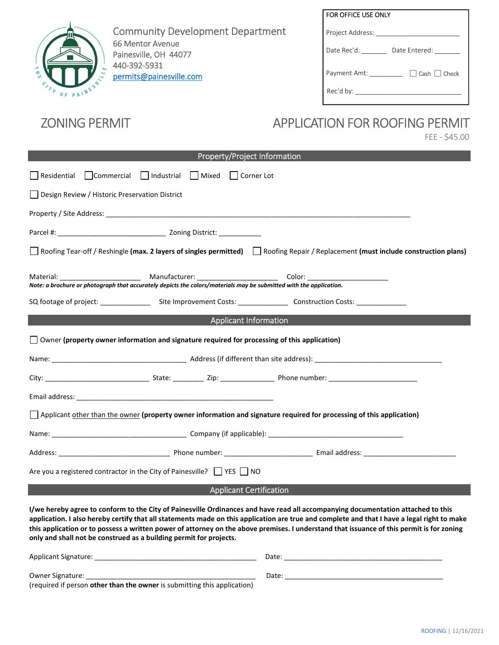

Community Development Department 66 Mentor Avenue Painesville, OH 44077 440-392-5931 permits@painesville.com

| FOR OFFICE USE ONLY          |
|------------------------------|
| Project Address:             |
| Date Rec'd:<br>Date Entered: |
| Cash   Check<br>Payment Amt: |
| Rec'd by:                    |

## ZONING PERMIT APPLICATION FOR ROOFING PERMIT

FEE - \$45.00

| Property/Project Information                                                                                                     |  |  |  |
|----------------------------------------------------------------------------------------------------------------------------------|--|--|--|
| Residential $\Box$ Commercial $\Box$ Industrial $\Box$ Mixed $\Box$ Corner Lot                                                   |  |  |  |
| Design Review / Historic Preservation District                                                                                   |  |  |  |
|                                                                                                                                  |  |  |  |
|                                                                                                                                  |  |  |  |
| Roofing Tear-off / Reshingle (max. 2 layers of singles permitted) Roofing Repair / Replacement (must include construction plans) |  |  |  |
|                                                                                                                                  |  |  |  |
|                                                                                                                                  |  |  |  |
| <b>Applicant Information</b>                                                                                                     |  |  |  |
| $\Box$ Owner (property owner information and signature required for processing of this application)                              |  |  |  |
|                                                                                                                                  |  |  |  |
|                                                                                                                                  |  |  |  |
|                                                                                                                                  |  |  |  |
| Applicant other than the owner (property owner information and signature required for processing of this application)            |  |  |  |
|                                                                                                                                  |  |  |  |
|                                                                                                                                  |  |  |  |
| Are you a registered contractor in the City of Painesville? $\Box$ YES $\Box$ NO                                                 |  |  |  |
| <b>Applicant Certification</b>                                                                                                   |  |  |  |
| I/we hereby agree to conform to the City of Painesville Ordinances and have read all accompanying documentation attached to this |  |  |  |

**I/we hereby agree to conform to the City of Painesville Ordinances and have read all accom application. I also hereby certify that all statements made on this application are true and complete and that I have a legal right to make**  this application or to possess a written power of attorney on the above premises. I understand that issuance of this permit is for zoning **only and shall not be construed as a building permit for projects.** 

| <b>Applicant Signature:</b>                                              | Date              |
|--------------------------------------------------------------------------|-------------------|
|                                                                          |                   |
| Owner Signature:                                                         | Date <sup>.</sup> |
| (required if person other than the owner is submitting this application) |                   |